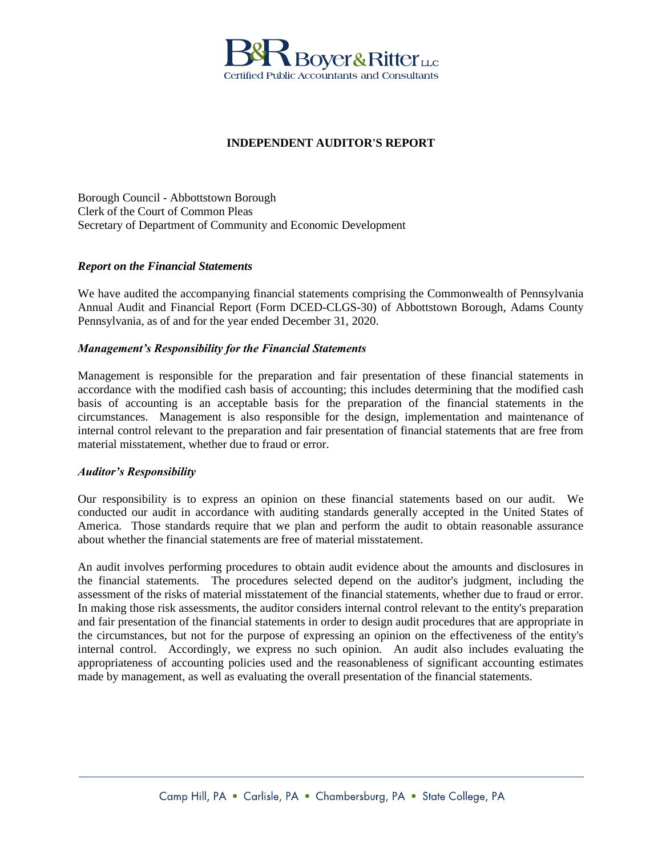

# **INDEPENDENT AUDITOR'S REPORT**

Borough Council - Abbottstown Borough Clerk of the Court of Common Pleas Secretary of Department of Community and Economic Development

## *Report on the Financial Statements*

We have audited the accompanying financial statements comprising the Commonwealth of Pennsylvania Annual Audit and Financial Report (Form DCED-CLGS-30) of Abbottstown Borough, Adams County Pennsylvania, as of and for the year ended December 31, 2020.

## *Management's Responsibility for the Financial Statements*

Management is responsible for the preparation and fair presentation of these financial statements in accordance with the modified cash basis of accounting; this includes determining that the modified cash basis of accounting is an acceptable basis for the preparation of the financial statements in the circumstances. Management is also responsible for the design, implementation and maintenance of internal control relevant to the preparation and fair presentation of financial statements that are free from material misstatement, whether due to fraud or error.

### *Auditor's Responsibility*

Our responsibility is to express an opinion on these financial statements based on our audit. We conducted our audit in accordance with auditing standards generally accepted in the United States of America. Those standards require that we plan and perform the audit to obtain reasonable assurance about whether the financial statements are free of material misstatement.

An audit involves performing procedures to obtain audit evidence about the amounts and disclosures in the financial statements. The procedures selected depend on the auditor's judgment, including the assessment of the risks of material misstatement of the financial statements, whether due to fraud or error. In making those risk assessments, the auditor considers internal control relevant to the entity's preparation and fair presentation of the financial statements in order to design audit procedures that are appropriate in the circumstances, but not for the purpose of expressing an opinion on the effectiveness of the entity's internal control. Accordingly, we express no such opinion. An audit also includes evaluating the appropriateness of accounting policies used and the reasonableness of significant accounting estimates made by management, as well as evaluating the overall presentation of the financial statements.